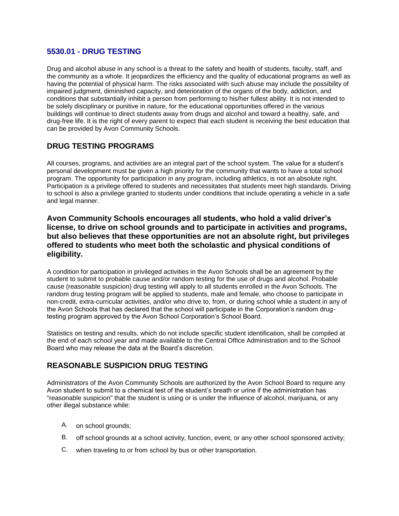#### **5530.01 - DRUG TESTING**

Drug and alcohol abuse in any school is a threat to the safety and health of students, faculty, staff, and the community as a whole. It jeopardizes the efficiency and the quality of educational programs as well as having the potential of physical harm. The risks associated with such abuse may include the possibility of impaired judgment, diminished capacity, and deterioration of the organs of the body, addiction, and conditions that substantially inhibit a person from performing to his/her fullest ability. It is not intended to be solely disciplinary or punitive in nature, for the educational opportunities offered in the various buildings will continue to direct students away from drugs and alcohol and toward a healthy, safe, and drug-free life. It is the right of every parent to expect that each student is receiving the best education that can be provided by Avon Community Schools.

## **DRUG TESTING PROGRAMS**

All courses, programs, and activities are an integral part of the school system. The value for a student's personal development must be given a high priority for the community that wants to have a total school program. The opportunity for participation in any program, including athletics, is not an absolute right. Participation is a privilege offered to students and necessitates that students meet high standards. Driving to school is also a privilege granted to students under conditions that include operating a vehicle in a safe and legal manner.

#### **Avon Community Schools encourages all students, who hold a valid driver's license, to drive on school grounds and to participate in activities and programs, but also believes that these opportunities are not an absolute right, but privileges offered to students who meet both the scholastic and physical conditions of eligibility.**

A condition for participation in privileged activities in the Avon Schools shall be an agreement by the student to submit to probable cause and/or random testing for the use of drugs and alcohol. Probable cause (reasonable suspicion) drug testing will apply to all students enrolled in the Avon Schools. The random drug testing program will be applied to students, male and female, who choose to participate in non-credit, extra-curricular activities, and/or who drive to, from, or during school while a student in any of the Avon Schools that has declared that the school will participate in the Corporation's random drugtesting program approved by the Avon School Corporation's School Board.

Statistics on testing and results, which do not include specific student identification, shall be compiled at the end of each school year and made available to the Central Office Administration and to the School Board who may release the data at the Board's discretion.

### **REASONABLE SUSPICION DRUG TESTING**

Administrators of the Avon Community Schools are authorized by the Avon School Board to require any Avon student to submit to a chemical test of the student's breath or urine if the administration has "reasonable suspicion" that the student is using or is under the influence of alcohol, marijuana, or any other illegal substance while:

- A. on school grounds;
- B. off school grounds at a school activity, function, event, or any other school sponsored activity;
- C. when traveling to or from school by bus or other transportation.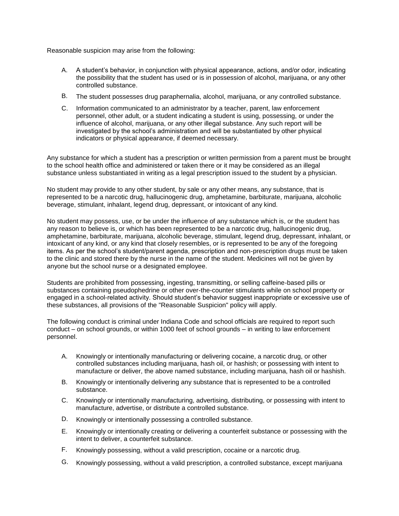Reasonable suspicion may arise from the following:

- A. A student's behavior, in conjunction with physical appearance, actions, and/or odor, indicating the possibility that the student has used or is in possession of alcohol, marijuana, or any other controlled substance.
- B. The student possesses drug paraphernalia, alcohol, marijuana, or any controlled substance.
- C. Information communicated to an administrator by a teacher, parent, law enforcement personnel, other adult, or a student indicating a student is using, possessing, or under the influence of alcohol, marijuana, or any other illegal substance. Any such report will be investigated by the school's administration and will be substantiated by other physical indicators or physical appearance, if deemed necessary.

Any substance for which a student has a prescription or written permission from a parent must be brought to the school health office and administered or taken there or it may be considered as an illegal substance unless substantiated in writing as a legal prescription issued to the student by a physician.

No student may provide to any other student, by sale or any other means, any substance, that is represented to be a narcotic drug, hallucinogenic drug, amphetamine, barbiturate, marijuana, alcoholic beverage, stimulant, inhalant, legend drug, depressant, or intoxicant of any kind.

No student may possess, use, or be under the influence of any substance which is, or the student has any reason to believe is, or which has been represented to be a narcotic drug, hallucinogenic drug, amphetamine, barbiturate, marijuana, alcoholic beverage, stimulant, legend drug, depressant, inhalant, or intoxicant of any kind, or any kind that closely resembles, or is represented to be any of the foregoing items. As per the school's student/parent agenda, prescription and non-prescription drugs must be taken to the clinic and stored there by the nurse in the name of the student. Medicines will not be given by anyone but the school nurse or a designated employee.

Students are prohibited from possessing, ingesting, transmitting, or selling caffeine-based pills or substances containing pseudophedrine or other over-the-counter stimulants while on school property or engaged in a school-related activity. Should student's behavior suggest inappropriate or excessive use of these substances, all provisions of the "Reasonable Suspicion" policy will apply.

The following conduct is criminal under Indiana Code and school officials are required to report such conduct – on school grounds, or within 1000 feet of school grounds – in writing to law enforcement personnel.

- A. Knowingly or intentionally manufacturing or delivering cocaine, a narcotic drug, or other controlled substances including marijuana, hash oil, or hashish; or possessing with intent to manufacture or deliver, the above named substance, including marijuana, hash oil or hashish.
- B. Knowingly or intentionally delivering any substance that is represented to be a controlled substance.
- C. Knowingly or intentionally manufacturing, advertising, distributing, or possessing with intent to manufacture, advertise, or distribute a controlled substance.
- D. Knowingly or intentionally possessing a controlled substance.
- E. Knowingly or intentionally creating or delivering a counterfeit substance or possessing with the intent to deliver, a counterfeit substance.
- F. Knowingly possessing, without a valid prescription, cocaine or a narcotic drug.
- G. Knowingly possessing, without a valid prescription, a controlled substance, except marijuana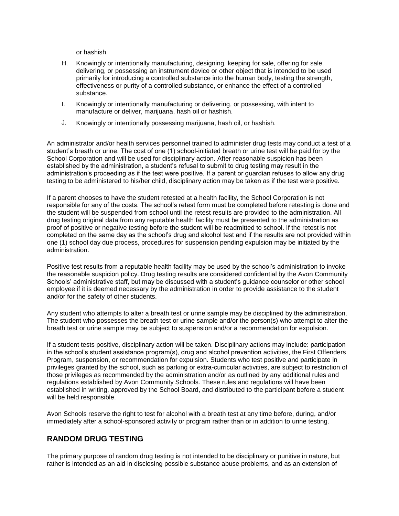or hashish.

- H. Knowingly or intentionally manufacturing, designing, keeping for sale, offering for sale, delivering, or possessing an instrument device or other object that is intended to be used primarily for introducing a controlled substance into the human body, testing the strength, effectiveness or purity of a controlled substance, or enhance the effect of a controlled substance.
- I. Knowingly or intentionally manufacturing or delivering, or possessing, with intent to manufacture or deliver, marijuana, hash oil or hashish.
- J. Knowingly or intentionally possessing marijuana, hash oil, or hashish.

An administrator and/or health services personnel trained to administer drug tests may conduct a test of a student's breath or urine. The cost of one (1) school-initiated breath or urine test will be paid for by the School Corporation and will be used for disciplinary action. After reasonable suspicion has been established by the administration, a student's refusal to submit to drug testing may result in the administration's proceeding as if the test were positive. If a parent or guardian refuses to allow any drug testing to be administered to his/her child, disciplinary action may be taken as if the test were positive.

If a parent chooses to have the student retested at a health facility, the School Corporation is not responsible for any of the costs. The school's retest form must be completed before retesting is done and the student will be suspended from school until the retest results are provided to the administration. All drug testing original data from any reputable health facility must be presented to the administration as proof of positive or negative testing before the student will be readmitted to school. If the retest is not completed on the same day as the school's drug and alcohol test and if the results are not provided within one (1) school day due process, procedures for suspension pending expulsion may be initiated by the administration.

Positive test results from a reputable health facility may be used by the school's administration to invoke the reasonable suspicion policy. Drug testing results are considered confidential by the Avon Community Schools' administrative staff, but may be discussed with a student's guidance counselor or other school employee if it is deemed necessary by the administration in order to provide assistance to the student and/or for the safety of other students.

Any student who attempts to alter a breath test or urine sample may be disciplined by the administration. The student who possesses the breath test or urine sample and/or the person(s) who attempt to alter the breath test or urine sample may be subject to suspension and/or a recommendation for expulsion.

If a student tests positive, disciplinary action will be taken. Disciplinary actions may include: participation in the school's student assistance program(s), drug and alcohol prevention activities, the First Offenders Program, suspension, or recommendation for expulsion. Students who test positive and participate in privileges granted by the school, such as parking or extra-curricular activities, are subject to restriction of those privileges as recommended by the administration and/or as outlined by any additional rules and regulations established by Avon Community Schools. These rules and regulations will have been established in writing, approved by the School Board, and distributed to the participant before a student will be held responsible.

Avon Schools reserve the right to test for alcohol with a breath test at any time before, during, and/or immediately after a school-sponsored activity or program rather than or in addition to urine testing.

# **RANDOM DRUG TESTING**

The primary purpose of random drug testing is not intended to be disciplinary or punitive in nature, but rather is intended as an aid in disclosing possible substance abuse problems, and as an extension of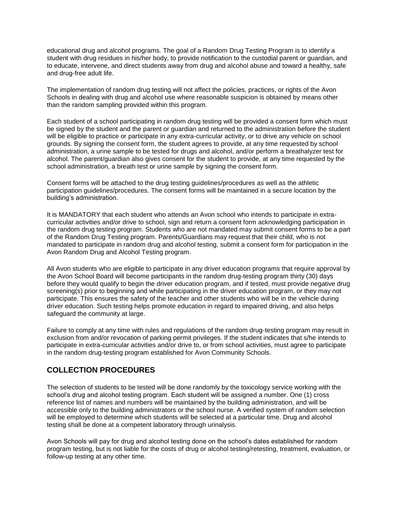educational drug and alcohol programs. The goal of a Random Drug Testing Program is to identify a student with drug residues in his/her body, to provide notification to the custodial parent or guardian, and to educate, intervene, and direct students away from drug and alcohol abuse and toward a healthy, safe and drug-free adult life.

The implementation of random drug testing will not affect the policies, practices, or rights of the Avon Schools in dealing with drug and alcohol use where reasonable suspicion is obtained by means other than the random sampling provided within this program.

Each student of a school participating in random drug testing will be provided a consent form which must be signed by the student and the parent or guardian and returned to the administration before the student will be eligible to practice or participate in any extra-curricular activity, or to drive any vehicle on school grounds. By signing the consent form, the student agrees to provide, at any time requested by school administration, a urine sample to be tested for drugs and alcohol, and/or perform a breathalyzer test for alcohol. The parent/guardian also gives consent for the student to provide, at any time requested by the school administration, a breath test or urine sample by signing the consent form.

Consent forms will be attached to the drug testing guidelines/procedures as well as the athletic participation guidelines/procedures. The consent forms will be maintained in a secure location by the building's administration.

It is MANDATORY that each student who attends an Avon school who intends to participate in extracurricular activities and/or drive to school, sign and return a consent form acknowledging participation in the random drug testing program. Students who are not mandated may submit consent forms to be a part of the Random Drug Testing program. Parents/Guardians may request that their child, who is not mandated to participate in random drug and alcohol testing, submit a consent form for participation in the Avon Random Drug and Alcohol Testing program.

All Avon students who are eligible to participate in any driver education programs that require approval by the Avon School Board will become participants in the random drug-testing program thirty (30) days before they would qualify to begin the driver education program, and if tested, must provide negative drug screening(s) prior to beginning and while participating in the driver education program, or they may not participate. This ensures the safety of the teacher and other students who will be in the vehicle during driver education. Such testing helps promote education in regard to impaired driving, and also helps safeguard the community at large.

Failure to comply at any time with rules and regulations of the random drug-testing program may result in exclusion from and/or revocation of parking permit privileges. If the student indicates that s/he intends to participate in extra-curricular activities and/or drive to, or from school activities, must agree to participate in the random drug-testing program established for Avon Community Schools.

### **COLLECTION PROCEDURES**

The selection of students to be tested will be done randomly by the toxicology service working with the school's drug and alcohol testing program. Each student will be assigned a number. One (1) cross reference list of names and numbers will be maintained by the building administration, and will be accessible only to the building administrators or the school nurse. A verified system of random selection will be employed to determine which students will be selected at a particular time. Drug and alcohol testing shall be done at a competent laboratory through urinalysis.

Avon Schools will pay for drug and alcohol testing done on the school's dates established for random program testing, but is not liable for the costs of drug or alcohol testing/retesting, treatment, evaluation, or follow-up testing at any other time.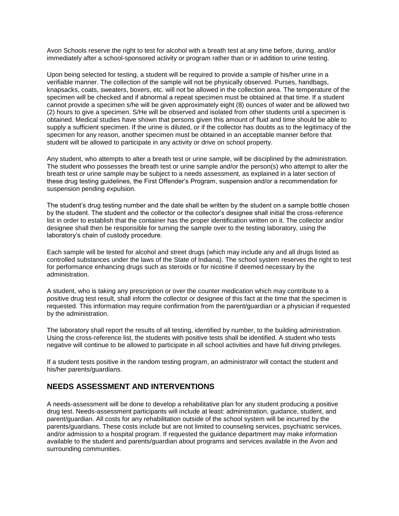Avon Schools reserve the right to test for alcohol with a breath test at any time before, during, and/or immediately after a school-sponsored activity or program rather than or in addition to urine testing.

Upon being selected for testing, a student will be required to provide a sample of his/her urine in a verifiable manner. The collection of the sample will not be physically observed. Purses, handbags, knapsacks, coats, sweaters, boxers, etc. will not be allowed in the collection area. The temperature of the specimen will be checked and if abnormal a repeat specimen must be obtained at that time. If a student cannot provide a specimen s/he will be given approximately eight (8) ounces of water and be allowed two (2) hours to give a specimen. S/He will be observed and isolated from other students until a specimen is obtained. Medical studies have shown that persons given this amount of fluid and time should be able to supply a sufficient specimen. If the urine is diluted, or if the collector has doubts as to the legitimacy of the specimen for any reason, another specimen must be obtained in an acceptable manner before that student will be allowed to participate in any activity or drive on school property.

Any student, who attempts to alter a breath test or urine sample, will be disciplined by the administration. The student who possesses the breath test or urine sample and/or the person(s) who attempt to alter the breath test or urine sample may be subject to a needs assessment, as explained in a later section of these drug testing guidelines, the First Offender's Program, suspension and/or a recommendation for suspension pending expulsion.

The student's drug testing number and the date shall be written by the student on a sample bottle chosen by the student. The student and the collector or the collector's designee shall initial the cross-reference list in order to establish that the container has the proper identification written on it. The collector and/or designee shall then be responsible for turning the sample over to the testing laboratory, using the laboratory's chain of custody procedure.

Each sample will be tested for alcohol and street drugs (which may include any and all drugs listed as controlled substances under the laws of the State of Indiana). The school system reserves the right to test for performance enhancing drugs such as steroids or for nicotine if deemed necessary by the administration.

A student, who is taking any prescription or over the counter medication which may contribute to a positive drug test result, shall inform the collector or designee of this fact at the time that the specimen is requested. This information may require confirmation from the parent/guardian or a physician if requested by the administration.

The laboratory shall report the results of all testing, identified by number, to the building administration. Using the cross-reference list, the students with positive tests shall be identified. A student who tests negative will continue to be allowed to participate in all school activities and have full driving privileges.

If a student tests positive in the random testing program, an administrator will contact the student and his/her parents/guardians.

### **NEEDS ASSESSMENT AND INTERVENTIONS**

A needs-assessment will be done to develop a rehabilitative plan for any student producing a positive drug test. Needs-assessment participants will include at least: administration, guidance, student, and parent/guardian. All costs for any rehabilitation outside of the school system will be incurred by the parents/guardians. These costs include but are not limited to counseling services, psychiatric services, and/or admission to a hospital program. If requested the guidance department may make information available to the student and parents/guardian about programs and services available in the Avon and surrounding communities.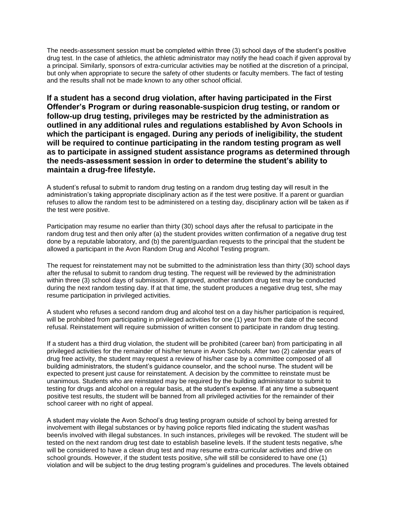The needs-assessment session must be completed within three (3) school days of the student's positive drug test. In the case of athletics, the athletic administrator may notify the head coach if given approval by a principal. Similarly, sponsors of extra-curricular activities may be notified at the discretion of a principal, but only when appropriate to secure the safety of other students or faculty members. The fact of testing and the results shall not be made known to any other school official.

**If a student has a second drug violation, after having participated in the First Offender's Program or during reasonable-suspicion drug testing, or random or follow-up drug testing, privileges may be restricted by the administration as outlined in any additional rules and regulations established by Avon Schools in which the participant is engaged. During any periods of ineligibility, the student will be required to continue participating in the random testing program as well as to participate in assigned student assistance programs as determined through the needs-assessment session in order to determine the student's ability to maintain a drug-free lifestyle.**

A student's refusal to submit to random drug testing on a random drug testing day will result in the administration's taking appropriate disciplinary action as if the test were positive. If a parent or guardian refuses to allow the random test to be administered on a testing day, disciplinary action will be taken as if the test were positive.

Participation may resume no earlier than thirty (30) school days after the refusal to participate in the random drug test and then only after (a) the student provides written confirmation of a negative drug test done by a reputable laboratory, and (b) the parent/guardian requests to the principal that the student be allowed a participant in the Avon Random Drug and Alcohol Testing program.

The request for reinstatement may not be submitted to the administration less than thirty (30) school days after the refusal to submit to random drug testing. The request will be reviewed by the administration within three (3) school days of submission. If approved, another random drug test may be conducted during the next random testing day. If at that time, the student produces a negative drug test, s/he may resume participation in privileged activities.

A student who refuses a second random drug and alcohol test on a day his/her participation is required, will be prohibited from participating in privileged activities for one (1) year from the date of the second refusal. Reinstatement will require submission of written consent to participate in random drug testing.

If a student has a third drug violation, the student will be prohibited (career ban) from participating in all privileged activities for the remainder of his/her tenure in Avon Schools. After two (2) calendar years of drug free activity, the student may request a review of his/her case by a committee composed of all building administrators, the student's guidance counselor, and the school nurse. The student will be expected to present just cause for reinstatement. A decision by the committee to reinstate must be unanimous. Students who are reinstated may be required by the building administrator to submit to testing for drugs and alcohol on a regular basis, at the student's expense. If at any time a subsequent positive test results, the student will be banned from all privileged activities for the remainder of their school career with no right of appeal.

A student may violate the Avon School's drug testing program outside of school by being arrested for involvement with illegal substances or by having police reports filed indicating the student was/has been/is involved with illegal substances. In such instances, privileges will be revoked. The student will be tested on the next random drug test date to establish baseline levels. If the student tests negative, s/he will be considered to have a clean drug test and may resume extra-curricular activities and drive on school grounds. However, if the student tests positive, s/he will still be considered to have one (1) violation and will be subject to the drug testing program's guidelines and procedures. The levels obtained